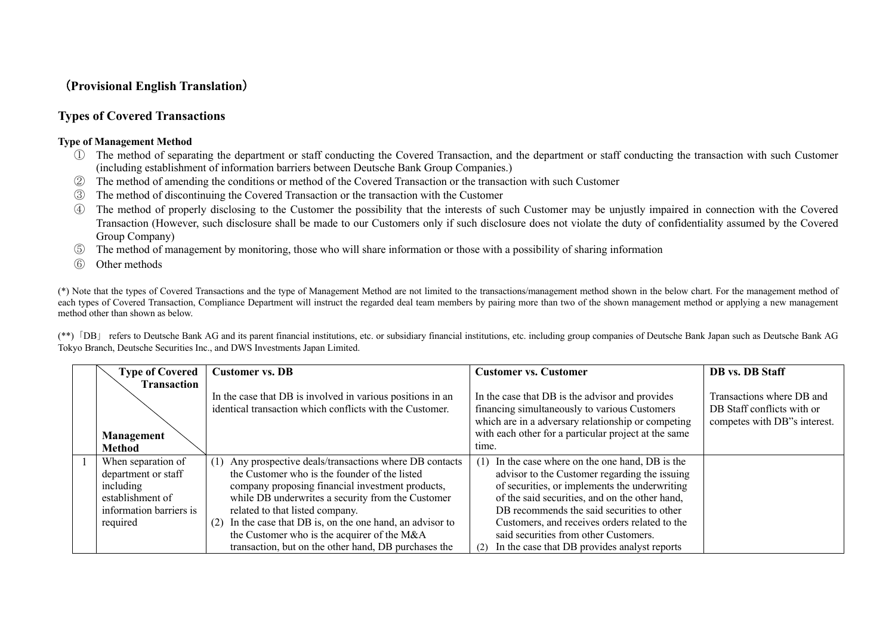## (**Provisional English Translation**)

## **Types of Covered Transactions**

## **Type of Management Method**

- ① The method of separating the department or staff conducting the Covered Transaction, and the department or staff conducting the transaction with such Customer (including establishment of information barriers between Deutsche Bank Group Companies.)
- ② The method of amending the conditions or method of the Covered Transaction or the transaction with such Customer
- ③ The method of discontinuing the Covered Transaction or the transaction with the Customer
- ④ The method of properly disclosing to the Customer the possibility that the interests of such Customer may be unjustly impaired in connection with the Covered Transaction (However, such disclosure shall be made to our Customers only if such disclosure does not violate the duty of confidentiality assumed by the Covered Group Company)
- ⑤ The method of management by monitoring, those who will share information or those with a possibility of sharing information
- ⑥ Other methods

(\*) Note that the types of Covered Transactions and the type of Management Method are not limited to the transactions/management method shown in the below chart. For the management method of each types of Covered Transaction, Compliance Department will instruct the regarded deal team members by pairing more than two of the shown management method or applying a new management method other than shown as below.

(\*\*)「DB」 refers to Deutsche Bank AG and its parent financial institutions, etc. or subsidiary financial institutions, etc. including group companies of Deutsche Bank Japan such as Deutsche Bank AG Tokyo Branch, Deutsche Securities Inc., and DWS Investments Japan Limited.

| <b>Type of Covered</b>  | <b>Customer vs. DB</b>                                       | <b>Customer vs. Customer</b>                         | DB vs. DB Staff              |
|-------------------------|--------------------------------------------------------------|------------------------------------------------------|------------------------------|
| <b>Transaction</b>      |                                                              |                                                      |                              |
|                         | In the case that DB is involved in various positions in an   | In the case that DB is the advisor and provides      | Transactions where DB and    |
|                         | identical transaction which conflicts with the Customer.     | financing simultaneously to various Customers        | DB Staff conflicts with or   |
|                         |                                                              | which are in a adversary relationship or competing   | competes with DB"s interest. |
| <b>Management</b>       |                                                              | with each other for a particular project at the same |                              |
| Method                  |                                                              | time.                                                |                              |
| When separation of      | (1) Any prospective deals/transactions where DB contacts     | (1) In the case where on the one hand, DB is the     |                              |
| department or staff     | the Customer who is the founder of the listed                | advisor to the Customer regarding the issuing        |                              |
| including               | company proposing financial investment products,             | of securities, or implements the underwriting        |                              |
| establishment of        | while DB underwrites a security from the Customer            | of the said securities, and on the other hand,       |                              |
| information barriers is | related to that listed company.                              | DB recommends the said securities to other           |                              |
| required                | $(2)$ In the case that DB is, on the one hand, an advisor to | Customers, and receives orders related to the        |                              |
|                         | the Customer who is the acquirer of the M&A                  | said securities from other Customers.                |                              |
|                         | transaction, but on the other hand, DB purchases the         | In the case that DB provides analyst reports<br>(2)  |                              |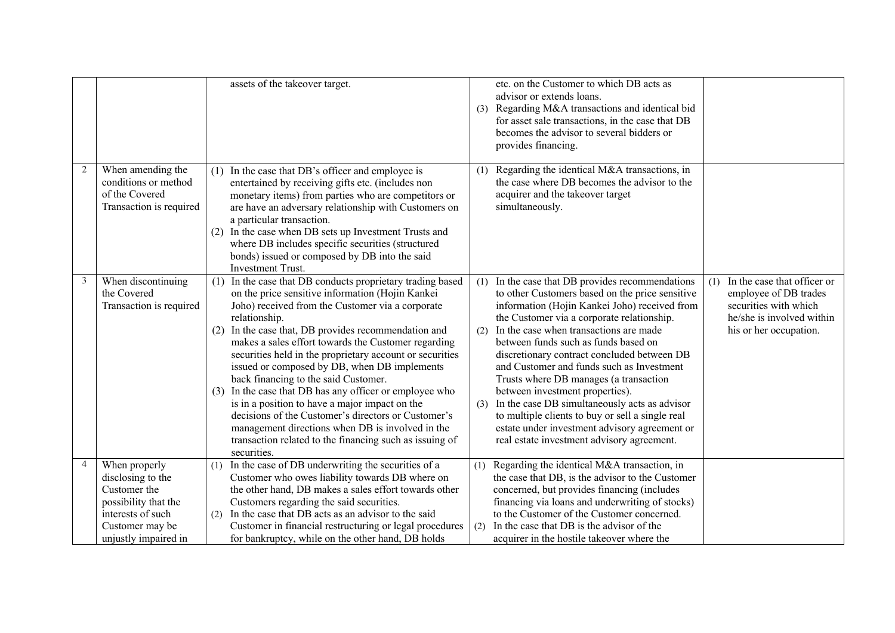|                |                                                                                                                                            | assets of the takeover target.                                                                                                                                                                                                                                                                                                                                                                                                                                                                                                                                                                                                                                                                                                                              | etc. on the Customer to which DB acts as<br>advisor or extends loans.<br>(3) Regarding M&A transactions and identical bid<br>for asset sale transactions, in the case that DB<br>becomes the advisor to several bidders or<br>provides financing.                                                                                                                                                                                                                                                                                                                                                                                                                                                                                                                                                                              |
|----------------|--------------------------------------------------------------------------------------------------------------------------------------------|-------------------------------------------------------------------------------------------------------------------------------------------------------------------------------------------------------------------------------------------------------------------------------------------------------------------------------------------------------------------------------------------------------------------------------------------------------------------------------------------------------------------------------------------------------------------------------------------------------------------------------------------------------------------------------------------------------------------------------------------------------------|--------------------------------------------------------------------------------------------------------------------------------------------------------------------------------------------------------------------------------------------------------------------------------------------------------------------------------------------------------------------------------------------------------------------------------------------------------------------------------------------------------------------------------------------------------------------------------------------------------------------------------------------------------------------------------------------------------------------------------------------------------------------------------------------------------------------------------|
| $\sqrt{2}$     | When amending the<br>conditions or method<br>of the Covered<br>Transaction is required                                                     | (1) In the case that DB's officer and employee is<br>entertained by receiving gifts etc. (includes non<br>monetary items) from parties who are competitors or<br>are have an adversary relationship with Customers on<br>a particular transaction.<br>(2) In the case when DB sets up Investment Trusts and<br>where DB includes specific securities (structured<br>bonds) issued or composed by DB into the said<br>Investment Trust.                                                                                                                                                                                                                                                                                                                      | (1) Regarding the identical M&A transactions, in<br>the case where DB becomes the advisor to the<br>acquirer and the takeover target<br>simultaneously.                                                                                                                                                                                                                                                                                                                                                                                                                                                                                                                                                                                                                                                                        |
| 3              | When discontinuing<br>the Covered<br>Transaction is required                                                                               | (1) In the case that DB conducts proprietary trading based<br>on the price sensitive information (Hojin Kankei<br>Joho) received from the Customer via a corporate<br>relationship.<br>(2) In the case that, DB provides recommendation and<br>makes a sales effort towards the Customer regarding<br>securities held in the proprietary account or securities<br>issued or composed by DB, when DB implements<br>back financing to the said Customer.<br>In the case that DB has any officer or employee who<br>(3)<br>is in a position to have a major impact on the<br>decisions of the Customer's directors or Customer's<br>management directions when DB is involved in the<br>transaction related to the financing such as issuing of<br>securities. | In the case that DB provides recommendations<br>In the case that officer or<br>(1)<br>(1)<br>to other Customers based on the price sensitive<br>employee of DB trades<br>information (Hojin Kankei Joho) received from<br>securities with which<br>the Customer via a corporate relationship.<br>he/she is involved within<br>(2) In the case when transactions are made<br>his or her occupation.<br>between funds such as funds based on<br>discretionary contract concluded between DB<br>and Customer and funds such as Investment<br>Trusts where DB manages (a transaction<br>between investment properties).<br>In the case DB simultaneously acts as advisor<br>(3)<br>to multiple clients to buy or sell a single real<br>estate under investment advisory agreement or<br>real estate investment advisory agreement. |
| $\overline{4}$ | When properly<br>disclosing to the<br>Customer the<br>possibility that the<br>interests of such<br>Customer may be<br>unjustly impaired in | In the case of DB underwriting the securities of a<br>(1)<br>Customer who owes liability towards DB where on<br>the other hand, DB makes a sales effort towards other<br>Customers regarding the said securities.<br>In the case that DB acts as an advisor to the said<br>(2)<br>Customer in financial restructuring or legal procedures<br>for bankruptcy, while on the other hand, DB holds                                                                                                                                                                                                                                                                                                                                                              | Regarding the identical M&A transaction, in<br>(1)<br>the case that DB, is the advisor to the Customer<br>concerned, but provides financing (includes<br>financing via loans and underwriting of stocks)<br>to the Customer of the Customer concerned.<br>In the case that DB is the advisor of the<br>(2)<br>acquirer in the hostile takeover where the                                                                                                                                                                                                                                                                                                                                                                                                                                                                       |